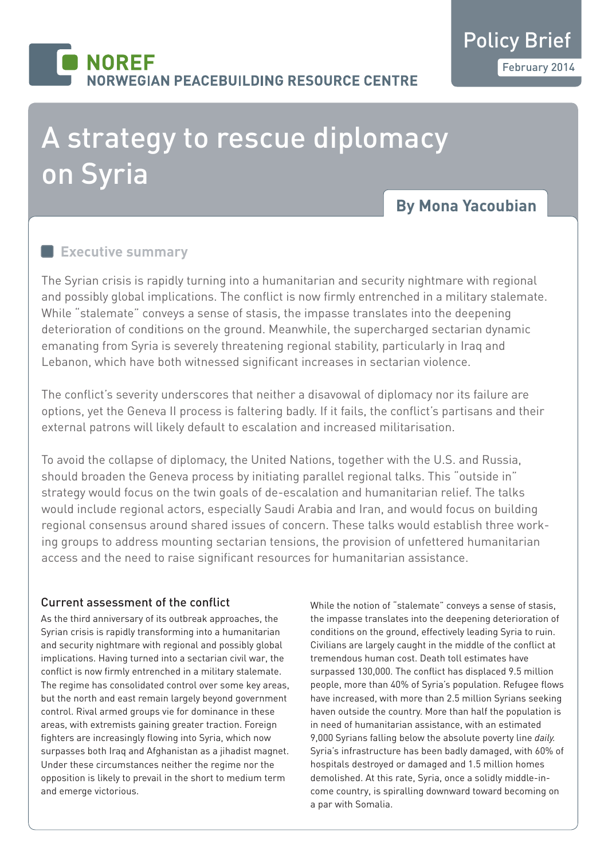# **NORFF IORWEGIAN PEACEBUILDING RESOURCE CENTRE**

# A strategy to rescue diplomacy on Syria

# **By Mona Yacoubian**

### **Executive summary**

The Syrian crisis is rapidly turning into a humanitarian and security nightmare with regional and possibly global implications. The conflict is now firmly entrenched in a military stalemate. While "stalemate" conveys a sense of stasis, the impasse translates into the deepening deterioration of conditions on the ground. Meanwhile, the supercharged sectarian dynamic emanating from Syria is severely threatening regional stability, particularly in Iraq and Lebanon, which have both witnessed significant increases in sectarian violence.

The conflict's severity underscores that neither a disavowal of diplomacy nor its failure are options, yet the Geneva II process is faltering badly. If it fails, the conflict's partisans and their external patrons will likely default to escalation and increased militarisation.

To avoid the collapse of diplomacy, the United Nations, together with the U.S. and Russia, should broaden the Geneva process by initiating parallel regional talks. This "outside in" strategy would focus on the twin goals of de-escalation and humanitarian relief. The talks would include regional actors, especially Saudi Arabia and Iran, and would focus on building regional consensus around shared issues of concern. These talks would establish three working groups to address mounting sectarian tensions, the provision of unfettered humanitarian access and the need to raise significant resources for humanitarian assistance.

#### Current assessment of the conflict

As the third anniversary of its outbreak approaches, the Syrian crisis is rapidly transforming into a humanitarian and security nightmare with regional and possibly global implications. Having turned into a sectarian civil war, the conflict is now firmly entrenched in a military stalemate. The regime has consolidated control over some key areas, but the north and east remain largely beyond government control. Rival armed groups vie for dominance in these areas, with extremists gaining greater traction. Foreign fighters are increasingly flowing into Syria, which now surpasses both Iraq and Afghanistan as a jihadist magnet. Under these circumstances neither the regime nor the opposition is likely to prevail in the short to medium term and emerge victorious.

While the notion of "stalemate" conveys a sense of stasis, the impasse translates into the deepening deterioration of conditions on the ground, effectively leading Syria to ruin. Civilians are largely caught in the middle of the conflict at tremendous human cost. Death toll estimates have surpassed 130,000. The conflict has displaced 9.5 million people, more than 40% of Syria's population. Refugee flows have increased, with more than 2.5 million Syrians seeking haven outside the country. More than half the population is in need of humanitarian assistance, with an estimated 9,000 Syrians falling below the absolute poverty line *daily.* Syria's infrastructure has been badly damaged, with 60% of hospitals destroyed or damaged and 1.5 million homes demolished. At this rate, Syria, once a solidly middle-income country, is spiralling downward toward becoming on a par with Somalia.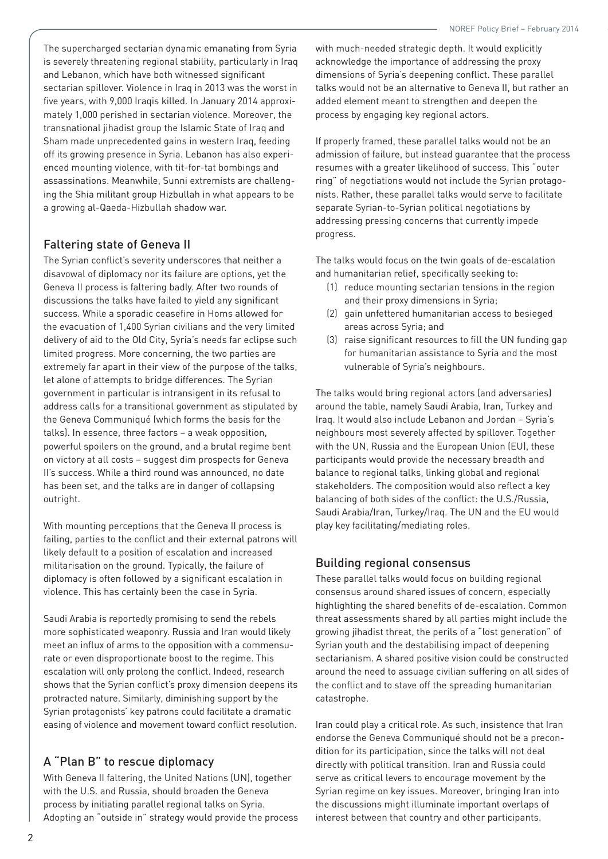The supercharged sectarian dynamic emanating from Syria is severely threatening regional stability, particularly in Iraq and Lebanon, which have both witnessed significant sectarian spillover. Violence in Iraq in 2013 was the worst in five years, with 9,000 Iraqis killed. In January 2014 approximately 1,000 perished in sectarian violence. Moreover, the transnational jihadist group the Islamic State of Iraq and Sham made unprecedented gains in western Iraq, feeding off its growing presence in Syria. Lebanon has also experienced mounting violence, with tit-for-tat bombings and assassinations. Meanwhile, Sunni extremists are challenging the Shia militant group Hizbullah in what appears to be a growing al-Qaeda-Hizbullah shadow war.

#### Faltering state of Geneva II

The Syrian conflict's severity underscores that neither a disavowal of diplomacy nor its failure are options, yet the Geneva II process is faltering badly. After two rounds of discussions the talks have failed to yield any significant success. While a sporadic ceasefire in Homs allowed for the evacuation of 1,400 Syrian civilians and the very limited delivery of aid to the Old City, Syria's needs far eclipse such limited progress. More concerning, the two parties are extremely far apart in their view of the purpose of the talks, let alone of attempts to bridge differences. The Syrian government in particular is intransigent in its refusal to address calls for a transitional government as stipulated by the Geneva Communiqué (which forms the basis for the talks). In essence, three factors – a weak opposition, powerful spoilers on the ground, and a brutal regime bent on victory at all costs – suggest dim prospects for Geneva II's success. While a third round was announced, no date has been set, and the talks are in danger of collapsing outright.

With mounting perceptions that the Geneva II process is failing, parties to the conflict and their external patrons will likely default to a position of escalation and increased militarisation on the ground. Typically, the failure of diplomacy is often followed by a significant escalation in violence. This has certainly been the case in Syria.

Saudi Arabia is reportedly promising to send the rebels more sophisticated weaponry. Russia and Iran would likely meet an influx of arms to the opposition with a commensurate or even disproportionate boost to the regime. This escalation will only prolong the conflict. Indeed, research shows that the Syrian conflict's proxy dimension deepens its protracted nature. Similarly, diminishing support by the Syrian protagonists' key patrons could facilitate a dramatic easing of violence and movement toward conflict resolution.

#### A "Plan B" to rescue diplomacy

With Geneva II faltering, the United Nations (UN), together with the U.S. and Russia, should broaden the Geneva process by initiating parallel regional talks on Syria. Adopting an "outside in" strategy would provide the process with much-needed strategic depth. It would explicitly acknowledge the importance of addressing the proxy dimensions of Syria's deepening conflict. These parallel talks would not be an alternative to Geneva II, but rather an added element meant to strengthen and deepen the process by engaging key regional actors.

If properly framed, these parallel talks would not be an admission of failure, but instead guarantee that the process resumes with a greater likelihood of success. This "outer ring" of negotiations would not include the Syrian protagonists. Rather, these parallel talks would serve to facilitate separate Syrian-to-Syrian political negotiations by addressing pressing concerns that currently impede progress.

The talks would focus on the twin goals of de-escalation and humanitarian relief, specifically seeking to:

- (1) reduce mounting sectarian tensions in the region and their proxy dimensions in Syria;
- (2) gain unfettered humanitarian access to besieged areas across Syria; and
- (3) raise significant resources to fill the UN funding gap for humanitarian assistance to Syria and the most vulnerable of Syria's neighbours.

The talks would bring regional actors (and adversaries) around the table, namely Saudi Arabia, Iran, Turkey and Iraq. It would also include Lebanon and Jordan – Syria's neighbours most severely affected by spillover. Together with the UN, Russia and the European Union (EU), these participants would provide the necessary breadth and balance to regional talks, linking global and regional stakeholders. The composition would also reflect a key balancing of both sides of the conflict: the U.S./Russia, Saudi Arabia/Iran, Turkey/Iraq. The UN and the EU would play key facilitating/mediating roles.

#### Building regional consensus

These parallel talks would focus on building regional consensus around shared issues of concern, especially highlighting the shared benefits of de-escalation. Common threat assessments shared by all parties might include the growing jihadist threat, the perils of a "lost generation" of Syrian youth and the destabilising impact of deepening sectarianism. A shared positive vision could be constructed around the need to assuage civilian suffering on all sides of the conflict and to stave off the spreading humanitarian catastrophe.

Iran could play a critical role. As such, insistence that Iran endorse the Geneva Communiqué should not be a precondition for its participation, since the talks will not deal directly with political transition. Iran and Russia could serve as critical levers to encourage movement by the Syrian regime on key issues. Moreover, bringing Iran into the discussions might illuminate important overlaps of interest between that country and other participants.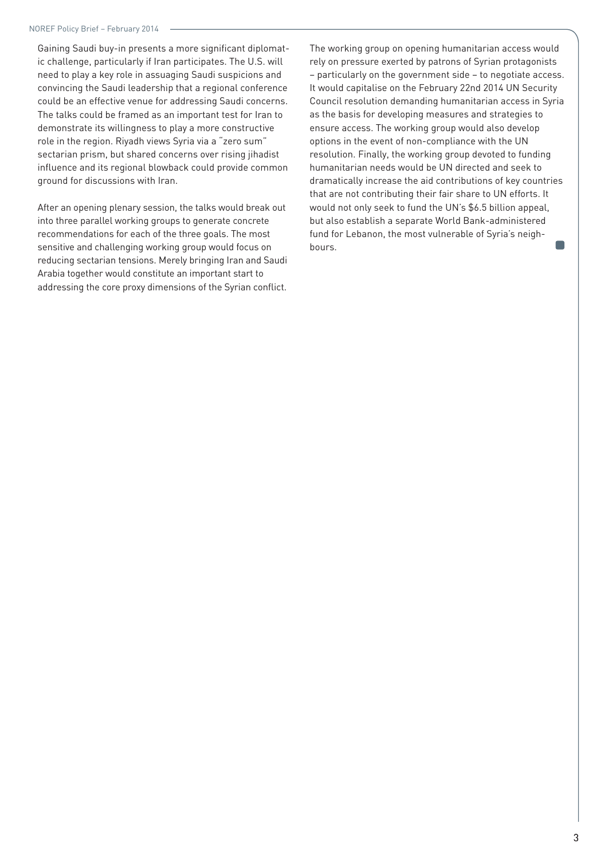Gaining Saudi buy-in presents a more significant diplomatic challenge, particularly if Iran participates. The U.S. will need to play a key role in assuaging Saudi suspicions and convincing the Saudi leadership that a regional conference could be an effective venue for addressing Saudi concerns. The talks could be framed as an important test for Iran to demonstrate its willingness to play a more constructive role in the region. Riyadh views Syria via a "zero sum" sectarian prism, but shared concerns over rising jihadist influence and its regional blowback could provide common ground for discussions with Iran.

After an opening plenary session, the talks would break out into three parallel working groups to generate concrete recommendations for each of the three goals. The most sensitive and challenging working group would focus on reducing sectarian tensions. Merely bringing Iran and Saudi Arabia together would constitute an important start to addressing the core proxy dimensions of the Syrian conflict.

The working group on opening humanitarian access would rely on pressure exerted by patrons of Syrian protagonists – particularly on the government side – to negotiate access. It would capitalise on the February 22nd 2014 UN Security Council resolution demanding humanitarian access in Syria as the basis for developing measures and strategies to ensure access. The working group would also develop options in the event of non-compliance with the UN resolution. Finally, the working group devoted to funding humanitarian needs would be UN directed and seek to dramatically increase the aid contributions of key countries that are not contributing their fair share to UN efforts. It would not only seek to fund the UN's \$6.5 billion appeal, but also establish a separate World Bank-administered fund for Lebanon, the most vulnerable of Syria's neighbours.